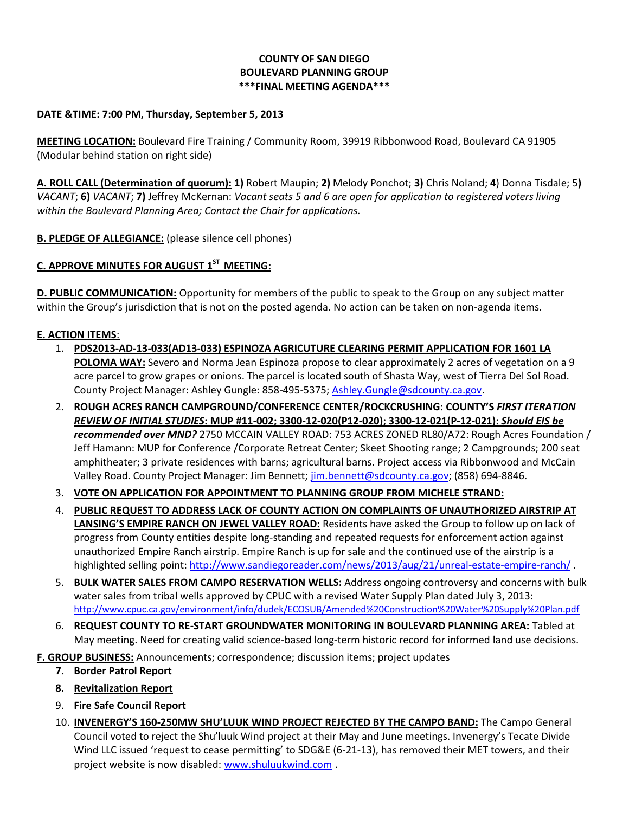## **COUNTY OF SAN DIEGO BOULEVARD PLANNING GROUP \*\*\*FINAL MEETING AGENDA\*\*\***

## **DATE &TIME: 7:00 PM, Thursday, September 5, 2013**

**MEETING LOCATION:** Boulevard Fire Training / Community Room, 39919 Ribbonwood Road, Boulevard CA 91905 (Modular behind station on right side)

**A. ROLL CALL (Determination of quorum): 1)** Robert Maupin; **2)** Melody Ponchot; **3)** Chris Noland; **4**) Donna Tisdale; 5**)**  *VACANT*; **6)** *VACANT*; **7)** Jeffrey McKernan: *Vacant seats 5 and 6 are open for application to registered voters living within the Boulevard Planning Area; Contact the Chair for applications.* 

**B. PLEDGE OF ALLEGIANCE:** (please silence cell phones)

# **C. APPROVE MINUTES FOR AUGUST 1ST MEETING:**

**D. PUBLIC COMMUNICATION:** Opportunity for members of the public to speak to the Group on any subject matter within the Group's jurisdiction that is not on the posted agenda. No action can be taken on non-agenda items.

## **E. ACTION ITEMS**:

- 1. **PDS2013-AD-13-033(AD13-033) ESPINOZA AGRICUTURE CLEARING PERMIT APPLICATION FOR 1601 LA POLOMA WAY:** Severo and Norma Jean Espinoza propose to clear approximately 2 acres of vegetation on a 9 acre parcel to grow grapes or onions. The parcel is located south of Shasta Way, west of Tierra Del Sol Road. County Project Manager: Ashley Gungle: 858-495-5375; [Ashley.Gungle@sdcounty.ca.gov.](mailto:Ashley.Gungle@sdcounty.ca.gov)
- 2. **ROUGH ACRES RANCH CAMPGROUND/CONFERENCE CENTER/ROCKCRUSHING: COUNTY'S** *FIRST ITERATION REVIEW OF INITIAL STUDIES***: MUP #11-002; 3300-12-020(P12-020); 3300-12-021(P-12-021):** *Should EIS be recommended over MND?* 2750 MCCAIN VALLEY ROAD: 753 ACRES ZONED RL80/A72: Rough Acres Foundation / Jeff Hamann: MUP for Conference /Corporate Retreat Center; Skeet Shooting range; 2 Campgrounds; 200 seat amphitheater; 3 private residences with barns; agricultural barns. Project access via Ribbonwood and McCain Valley Road. County Project Manager: Jim Bennett; [jim.bennett@sdcounty.ca.gov;](mailto:jim.bennett@sdcounty.ca.gov) (858) 694-8846.
- 3. **VOTE ON APPLICATION FOR APPOINTMENT TO PLANNING GROUP FROM MICHELE STRAND:**
- 4. **PUBLIC REQUEST TO ADDRESS LACK OF COUNTY ACTION ON COMPLAINTS OF UNAUTHORIZED AIRSTRIP AT LANSING'S EMPIRE RANCH ON JEWEL VALLEY ROAD:** Residents have asked the Group to follow up on lack of progress from County entities despite long-standing and repeated requests for enforcement action against unauthorized Empire Ranch airstrip. Empire Ranch is up for sale and the continued use of the airstrip is a highlighted selling point[: http://www.sandiegoreader.com/news/2013/aug/21/unreal-estate-empire-ranch/](http://www.sandiegoreader.com/news/2013/aug/21/unreal-estate-empire-ranch/) .
- 5. **BULK WATER SALES FROM CAMPO RESERVATION WELLS:** Address ongoing controversy and concerns with bulk water sales from tribal wells approved by CPUC with a revised Water Supply Plan dated July 3, 2013: <http://www.cpuc.ca.gov/environment/info/dudek/ECOSUB/Amended%20Construction%20Water%20Supply%20Plan.pdf>
- 6. **REQUEST COUNTY TO RE-START GROUNDWATER MONITORING IN BOULEVARD PLANNING AREA:** Tabled at May meeting. Need for creating valid science-based long-term historic record for informed land use decisions.

**F. GROUP BUSINESS:** Announcements; correspondence; discussion items; project updates

- **7. Border Patrol Report**
- **8. Revitalization Report**
- 9. **Fire Safe Council Report**
- 10. **INVENERGY'S 160-250MW SHU'LUUK WIND PROJECT REJECTED BY THE CAMPO BAND:** The Campo General Council voted to reject the Shu'luuk Wind project at their May and June meetings. Invenergy's Tecate Divide Wind LLC issued 'request to cease permitting' to SDG&E (6-21-13), has removed their MET towers, and their project website is now disabled: [www.shuluukwind.com](http://www.shuluukwind.com/) .